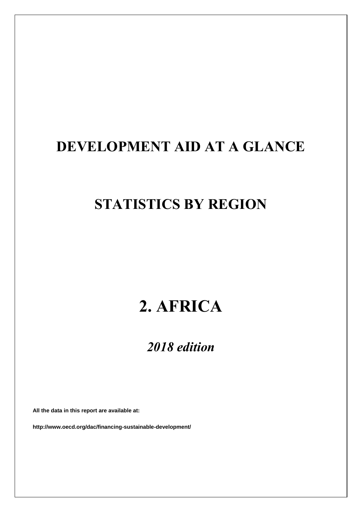# **DEVELOPMENT AID AT A GLANCE**

# **STATISTICS BY REGION**

# **2. AFRICA**

### *2018 edition*

**All the data in this report are available at:**

**http://www.oecd.org/dac/financing-sustainable-development/**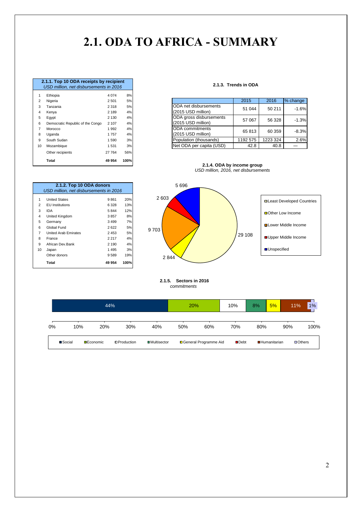## **2.1. ODA TO AFRICA - SUMMARY**

|                | 2.1.1. Top 10 ODA receipts by recipient |         |      |
|----------------|-----------------------------------------|---------|------|
|                | USD million, net disbursements in 2016  |         |      |
| 1              | Ethiopia                                | 4 0 7 4 | 8%   |
| 2              | Nigeria                                 | 2501    | 5%   |
| 3              | Tanzania                                | 2 3 1 8 | 5%   |
| 4              | Kenya                                   | 2 189   | 4%   |
| 5              | Eqypt                                   | 2 1 3 0 | 4%   |
| 6              | Democratic Republic of the Congo        | 2 107   | 4%   |
| $\overline{7}$ | Morocco                                 | 1992    | 4%   |
| 8              | Uganda                                  | 1757    | 4%   |
| 9              | South Sudan                             | 1590    | 3%   |
| 10             | Mozambique                              | 1531    | 3%   |
|                | Other recipients                        | 27 764  | 56%  |
|                | Total                                   | 49 954  | 100% |

1 United States 9861 20%<br>2 EU Institutions 6328 13% 2 EU Institutions 6 328 13%

**2.1.2. Top 10 ODA donors**

*USD million, net disbursements in 2016*

4 United Kingdom 3857 8% 5 Germany 3 499 7% 6 Global Fund 2 622 5% 7 United Arab Emirates 2453 5% 8 France 2 217 4% 9 African Dev.Bank 2 190 4%<br>10 Japan 1495 3%

Other donors 9 589 19% **Total 49 954 100%**

 $3$  IDA

10 Japan

#### **2.1.3. Trends in ODA**

| Ethopia                                   | 4 V / 4            | $O$ /0   |
|-------------------------------------------|--------------------|----------|
| Nigeria                                   | 2 5 0 1            | 5%       |
| Tanzania<br>Kenya                         | 2 3 1 8<br>2 1 8 9 | 5%<br>4% |
| Egypt<br>Democratic Republic of the Congo | 2 1 3 0<br>2 107   | 4%<br>4% |
| Morocco<br>Uganda                         | 992<br>1757        | 4%<br>4% |
| South Sudan                               | 1590               | 3%       |
| Mozambique                                | 1531               | 3%       |
|                                           | $5^{\circ}$        |          |

**2.1.4. ODA by income group** *USD million, 2016, net disbursements*



 **2.1.5. Sectors in 2016**  *commitments*

|    |         |                  | 44% |                    |                      | 20% |                         | 10%                 | 8%  | 5%                  | 11% | 1%             |
|----|---------|------------------|-----|--------------------|----------------------|-----|-------------------------|---------------------|-----|---------------------|-----|----------------|
| 0% |         | 10%              | 20% | 30%                | 40%                  | 50% | 60%                     | 70%                 | 80% |                     | 90% | 100%           |
|    | ■Social | <b>DEconomic</b> |     | <b>OProduction</b> | <b>□</b> Multisector |     | □ General Programme Aid | $\blacksquare$ Debt |     | <b>Humanitarian</b> |     | <b>DOthers</b> |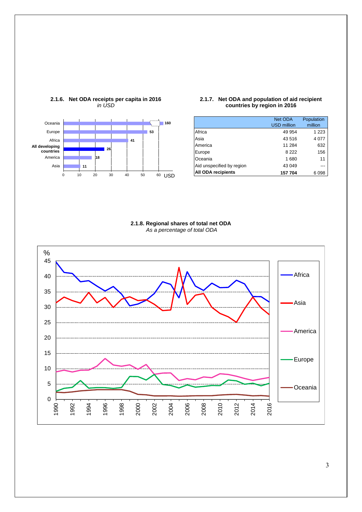

#### **2.1.6. Net ODA receipts per capita in 2016** *in USD*

#### **2.1.7. Net ODA and population of aid recipient countries by region in 2016**

|                           | Net ODA<br><b>USD million</b> | Population<br>million |
|---------------------------|-------------------------------|-----------------------|
| Africa                    | 49 954                        | 1 2 2 3               |
| Asia                      | 43516                         | 4 0 7 7               |
| America                   | 11 284                        | 632                   |
| Europe                    | 8 2 2 2                       | 156                   |
| Oceania                   | 1680                          | 11                    |
| Aid unspecified by region | 43 049                        |                       |
| <b>All ODA recipients</b> | 157704                        | 6098                  |

#### **2.1.8. Regional shares of total net ODA** *As a percentage of total ODA*

<span id="page-2-0"></span>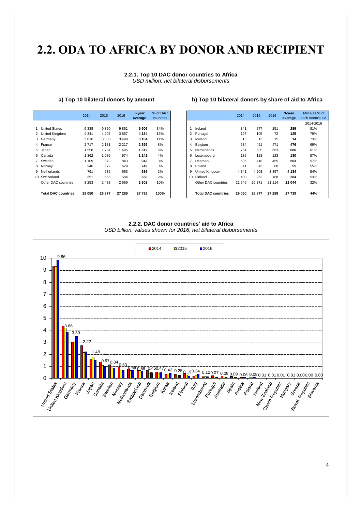### **2.2. ODA [TO](#page-2-0) AFRICA BY DONOR AND RECIPIENT**

#### **2.2.1. Top 10 DAC donor countries to Africa** *USD million, net bilateral disbursements*

|                            | 2014    | 2015    | 2016    | $3$ -year | % of DAC  |
|----------------------------|---------|---------|---------|-----------|-----------|
|                            |         |         |         | average   | countries |
|                            |         |         |         |           |           |
| <b>United States</b>       | 9 3 3 8 | 9 3 2 0 | 9861    | 9506      | 34%       |
| 2 United Kingdom           | 4 3 4 1 | 4 2 0 3 | 3857    | 4 1 3 4   | 15%       |
| 3 Germany                  | 3016    | 3 0 3 6 | 3499    | 3 1 8 4   | 11%       |
| 4 France                   | 2717    | 2 1 3 1 | 2 2 1 7 | 2 3 5 5   | 8%        |
| 5 Japan                    | 1558    | 1784    | 1495    | 1612      | 6%        |
| 6 Canada                   | 1 3 6 2 | 1 0 8 6 | 974     | 1 1 4 1   | 4%        |
| 7 Sweden                   | 1 109   | 873     | 843     | 942       | 3%        |
| 8 Norway                   | 946     | 672     | 629     | 749       | 3%        |
| 9 Netherlands              | 761     | 635     | 663     | 686       | 2%        |
| 10 Switzerland             | 651     | 655     | 584     | 630       | 2%        |
| Other DAC countries        | 3 2 5 3 | 2 4 8 3 | 2669    | 2802      | 10%       |
|                            |         |         |         |           |           |
| <b>Total DAC countries</b> | 29 050  | 26 877  | 27 289  | 27 739    | 100%      |

#### **a) Top 10 bilateral donors by amount b) Top 10 bilateral donors by share of aid to Africa**

|                            | 2014    | 2015    | 2016    | 3-year<br>average | % of DAC<br>countries |
|----------------------------|---------|---------|---------|-------------------|-----------------------|
|                            |         |         |         |                   |                       |
| <b>United States</b>       | 9 3 3 8 | 9 3 2 0 | 9861    | 9506              | 34%                   |
| United Kingdom             | 4 3 4 1 | 4 2 0 3 | 3857    | 4 1 3 4           | 15%                   |
| Germany                    | 3016    | 3 0 3 6 | 3499    | 3 1 8 4           | 11%                   |
| France                     | 2717    | 2 1 3 1 | 2 2 1 7 | 2 3 5 5           | 8%                    |
| Japan                      | 1558    | 1784    | 1495    | 1612              | 6%                    |
| Canada                     | 1 362   | 1086    | 974     | 1 1 4 1           | 4%                    |
| Sweden                     | 1 1 0 9 | 873     | 843     | 942               | 3%                    |
| Norway                     | 946     | 672     | 629     | 749               | 3%                    |
| Netherlands                | 761     | 635     | 663     | 686               | 2%                    |
| Switzerland                | 651     | 655     | 584     | 630               | 2%                    |
| Other DAC countries        | 3 2 5 3 | 2 4 8 3 | 2669    | 2802              | 10%                   |
|                            |         |         |         |                   |                       |
| <b>Total DAC countries</b> | 29 050  | 26 877  | 27 289  | 27 739            | 100%                  |

#### **2.2.2. DAC donor countries' aid to Africa**



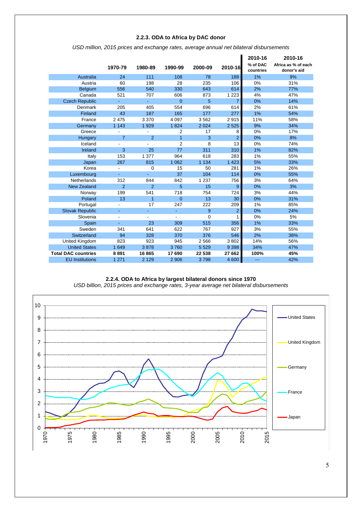#### **2.2.3. ODA to Africa by DAC donor**

|                            |                |                |                |          |                | 2010-16               | 2010-16                            |
|----------------------------|----------------|----------------|----------------|----------|----------------|-----------------------|------------------------------------|
|                            | 1970-79        | 1980-89        | 1990-99        | 2000-09  | 2010-16        | % of DAC<br>countries | Africa as % of each<br>donor's aid |
| Australia                  | 24             | 111            | 108            | 78       | 188            | 1%                    | 9%                                 |
| Austria                    | 60             | 198            | 28             | 235      | 106            | 0%                    | 31%                                |
| <b>Belgium</b>             | 556            | 540            | 330            | 643      | 614            | 2%                    | 77%                                |
| Canada                     | 521            | 707            | 606            | 873      | 1 2 2 3        | 4%                    | 47%                                |
| <b>Czech Republic</b>      | ä,             | ÷              | $\mathbf 0$    | 5        | $\overline{7}$ | 0%                    | 14%                                |
| Denmark                    | 205            | 405            | 554            | 696      | 614            | 2%                    | 61%                                |
| Finland                    | 43             | 187            | 165            | 177      | 277            | 1%                    | 54%                                |
| France                     | 2 4 7 5        | 3 3 7 0        | 4 0 9 7        | 3562     | 2915           | 11%                   | 58%                                |
| Germany                    | 1 1 4 3        | 1929           | 1824           | 2 0 2 4  | 2 5 2 5        | 9%                    | 34%                                |
| Greece                     |                |                | $\overline{2}$ | 17       | 8              | 0%                    | 17%                                |
| Hungary                    | $\overline{7}$ | $\overline{2}$ | $\overline{1}$ | 3        | $\overline{2}$ | 0%                    | 8%                                 |
| Iceland                    |                |                | $\overline{2}$ | 8        | 13             | 0%                    | 74%                                |
| Ireland                    | 3              | 25             | 77             | 311      | 310            | 1%                    | 82%                                |
| Italy                      | 153            | 1 377          | 964            | 618      | 283            | 1%                    | 55%                                |
| Japan                      | 267            | 815            | 1 0 6 2        | 1 1 3 4  | 1 4 2 3        | 5%                    | 33%                                |
| Korea                      |                | $\mathbf 0$    | 15             | 50       | 281            | 1%                    | 26%                                |
| Luxembourg                 |                |                | 37             | 104      | 114            | 0%                    | 55%                                |
| Netherlands                | 312            | 844            | 842            | 1 2 3 7  | 756            | 3%                    | 64%                                |
| <b>New Zealand</b>         | 2              | $\overline{2}$ | 5              | 15       | 9              | 0%                    | 3%                                 |
| Norway                     | 199            | 541            | 718            | 754      | 724            | 3%                    | 44%                                |
| Poland                     | 13             | $\overline{1}$ | $\mathbf{0}$   | 13       | 30             | 0%                    | 31%                                |
| Portugal                   |                | 17             | 247            | 222      | 209            | 1%                    | 85%                                |
| <b>Slovak Republic</b>     |                |                | ÷              | 9        | $\overline{2}$ | 0%                    | 24%                                |
| Slovenia                   |                |                |                | $\Omega$ |                | 0%                    | 5%                                 |
| Spain                      |                | 23             | 309            | 515      | 356            | 1%                    | 33%                                |
| Sweden                     | 341            | 641            | 622            | 767      | 927            | 3%                    | 55%                                |
| Switzerland                | 94             | 328            | 370            | 376      | 546            | 2%                    | 38%                                |
| United Kingdom             | 823            | 923            | 945            | 2 5 6 6  | 3802           | 14%                   | 56%                                |
| <b>United States</b>       | 1 6 4 9        | 3878           | 3760           | 5 5 2 9  | 9 3 9 8        | 34%                   | 47%                                |
| <b>Total DAC countries</b> | 8891           | 16865          | 17690          | 22 538   | 27 662         | 100%                  | 45%                                |
| <b>EU</b> Institutions     | 1 2 7 1        | 2 1 2 9        | 2 9 0 6        | 3798     | 4 600          | ---                   | 42%                                |

*USD million, 2015 prices and exchange rates, average annual net bilateral disbursements*

#### **2.2.4. ODA to Africa by largest bilateral donors since 1970**

*USD billion, 2015 prices and exchange rates, 3-year average net bilateral disbursements*

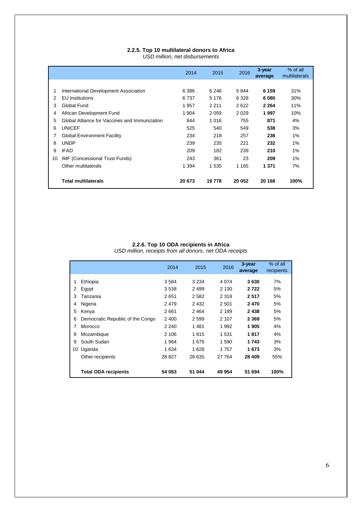#### **2.2.5. Top 10 multilateral donors to Africa** *USD million, net disbursements*

|    |                                               | 2014    | 2015    | 2016    | 3-year<br>average | % of all<br>multilaterals |
|----|-----------------------------------------------|---------|---------|---------|-------------------|---------------------------|
|    |                                               |         |         |         |                   |                           |
| 1  | International Development Association         | 6 3 8 6 | 6 24 6  | 5844    | 6 159             | 31%                       |
| 2  | <b>EU</b> Institutions                        | 6737    | 5 1 7 6 | 6 3 2 8 | 6080              | 30%                       |
| 3  | Global Fund                                   | 1957    | 2 2 1 1 | 2622    | 2 2 6 4           | 11%                       |
| 4  | African Development Fund                      | 1 9 0 4 | 2059    | 2029    | 1997              | 10%                       |
| 5  | Global Alliance for Vaccines and Immunization | 844     | 1 0 1 6 | 755     | 871               | 4%                        |
| 6  | <b>UNICEF</b>                                 | 525     | 540     | 549     | 538               | 3%                        |
| 7  | Global Environment Facility                   | 234     | 218     | 257     | 236               | 1%                        |
| 8  | <b>UNDP</b>                                   | 239     | 235     | 221     | 232               | 1%                        |
| 9  | <b>IFAD</b>                                   | 209     | 182     | 239     | 210               | 1%                        |
| 10 | <b>IMF (Concessional Trust Funds)</b>         | 243     | 361     | 23      | 209               | 1%                        |
|    | Other multilaterals                           | 1 3 9 4 | 1 5 3 5 | 1 1 8 5 | 1 371             | 7%                        |
|    | <b>Total multilaterals</b>                    | 20 673  | 19778   | 20 052  | 20 168            | 100%                      |

### **2.2.6. Top 10 ODA recipients in Africa**

*USD million, receipts from all donors, net ODA receipts*

|    |                                  | 2014    | 2015    | 2016    | 3-year<br>average | % of all<br>recipients |
|----|----------------------------------|---------|---------|---------|-------------------|------------------------|
|    |                                  |         |         |         |                   |                        |
| 1  | Ethiopia                         | 3584    | 3 2 3 4 | 4 0 7 4 | 3630              | 7%                     |
| 2  | Egypt                            | 3 5 3 8 | 2499    | 2 1 3 0 | 2 7 2 2           | 5%                     |
| 3  | Tanzania                         | 2651    | 2582    | 2 3 1 8 | 2517              | 5%                     |
| 4  | Nigeria                          | 2479    | 2432    | 2 5 0 1 | 2470              | 5%                     |
| 5  | Kenya                            | 2661    | 2464    | 2 189   | 2 4 3 8           | 5%                     |
| 6  | Democratic Republic of the Congo | 2 4 0 0 | 2599    | 2 107   | 2 3 6 9           | 5%                     |
| 7  | Morocco                          | 2 2 4 0 | 1481    | 1992    | 1905              | 4%                     |
| 8  | Mozambique                       | 2 106   | 1815    | 1 5 3 1 | 1817              | 4%                     |
| 9  | South Sudan                      | 1964    | 1675    | 1 5 9 0 | 1 743             | 3%                     |
| 10 | Uganda                           | 1 6 3 4 | 1628    | 1757    | 1673              | 3%                     |
|    | Other recipients                 | 28 827  | 28 635  | 27 7 64 | 28 409            | 55%                    |
|    |                                  |         |         |         |                   |                        |
|    | <b>Total ODA recipients</b>      | 54 083  | 51 044  | 49 954  | 51 694            | 100%                   |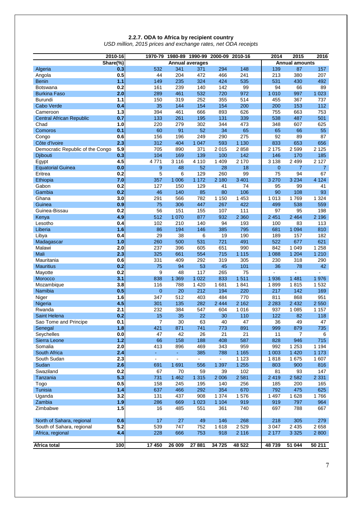#### **2.2.7. ODA to Africa by recipient country**

*USD million, 2015 prices and exchange rates, net ODA receipts*

|                                  | 2010-16  |                |                     | 1970-79 1980-89 1990-99 2000-09 2010-16 |         |         | 2014           | 2015                  | 2016           |
|----------------------------------|----------|----------------|---------------------|-----------------------------------------|---------|---------|----------------|-----------------------|----------------|
|                                  | Share(%) |                |                     | <b>Annual averages</b>                  |         |         |                | <b>Annual amounts</b> |                |
| Algeria                          | 0.3      | 532            | 341                 | 371                                     | 294     | 148     | 139            | 87                    | 157            |
| Angola                           | 0.5      | 44             | 204                 | 472                                     | 466     | 241     | 213            | 380                   | 207            |
| <b>Benin</b>                     | 1.1      | 149            | 235                 | 324                                     | 424     | 535     | 531            | 430                   | 492            |
| <b>Botswana</b>                  | 0.2      | 161            | 239                 | 140                                     | 142     | 99      | 94             | 66                    | 89             |
| <b>Burkina Faso</b>              | 2.0      | 289            | 461                 | 532                                     | 720     | 972     | 1 0 1 0        | 997                   | 1 0 2 3        |
| Burundi                          | $1.1$    | 150            | 319                 | 252                                     | 355     | 514     | 455            | 367                   | 737            |
| Cabo Verde                       | 0.4      | 35             | 144                 | 154                                     | 154     | 200     | 200            | 153                   | 112            |
| Cameroon                         | 1.3      | 394            | 461                 | 666                                     | 893     | 626     | 755            | 663                   | 753            |
| <b>Central African Republic</b>  | 0.7      | 133            | 261                 | 195                                     | 131     | 339     | 538            | 487                   | 501            |
| Chad                             | 1.0      | 220            | 279                 | 302                                     | 344     | 473     | 348            | 607                   | 625            |
| Comoros                          | 0.1      | 60             | 91                  | 52                                      | 34      | 65      | 65             | 66                    | 55             |
| Congo                            | 0.6      | 156            | 196                 | 249                                     | 290     | 275     | 92             | 89                    | 87             |
| Côte d'Ivoire                    | 2.3      | 312            | 404                 | 1 0 4 7                                 | 593     | 1 1 3 0 | 833            | 653                   | 656            |
| Democratic Republic of the Congo | 5.9      | 705            | 890                 | 371                                     | 2015    | 2858    | 2 1 7 5        | 2 5 9 9               | 2 1 2 5        |
| Djibouti                         | 0.3      | 104            | 169                 | 139                                     | 100     | 142     | 146            | 170                   | 185            |
| Egypt                            | 4.5      | 4771           | 3 1 1 6             | 4 1 1 0                                 | 1 4 0 9 | 2 1 7 0 | 3 1 3 8        | 2 4 9 9               | 2 1 2 7        |
| <b>Equatorial Guinea</b>         | 0.0      | 9              | 48                  | 52                                      | 28      | 18      | $\overline{0}$ | $\overline{7}$        | $\overline{7}$ |
| Eritrea                          | 0.2      | 5              | 6                   | 129                                     | 260     | 99      | 75             | 94                    | 67             |
| Ethiopia                         | 7.0      | 357            | 1 0 0 6             | 1 1 7 2                                 | 2 1 8 0 | 3 4 0 1 | 3 2 7 0        | 3 2 3 4               | 4 1 2 4        |
| Gabon                            | 0.2      | 127            | 150                 | 129                                     | 41      | 74      | 95             | 99                    | 41             |
| Gambia                           | 0.2      | 46             | 140                 | 85                                      | 80      | 106     | 90             | 108                   | 93             |
| Ghana                            | 3.0      | 291            | 566                 | 782                                     | 1 1 5 0 | 1 4 5 3 | 1 0 1 3        | 1769                  | 1 3 2 4        |
| Guinea                           | 0.9      | 75             | 306                 | 447                                     | 267     | 422     | 499            | 538                   | 559            |
| Guinea-Bissau                    | 0.2      | 56             | 151                 | 155                                     | 107     | 111     | 97             | 95                    | 198            |
| Kenya                            | 4.9      | 512            | 1 0 7 0             | 877                                     | 932     | 2 3 6 0 | 2 4 5 1        | 2 4 6 4               | 2 1 9 6        |
| Lesotho                          | 0.4      | 102            | 210                 | 140                                     | 94      | 193     | 100            | 83                    | 113            |
| Liberia                          | 1.6      | 86             | 194                 | 146                                     | 385     | 795     | 681            | 1 0 9 4               | 810            |
| Libya                            | 0.4      | 29             | 38                  | 6                                       | 19      | 190     | 189            | 157                   | 182            |
| Madagascar                       | 1.0      | 260            | 500                 | 531                                     | 721     | 491     | 522            | 677                   | 621            |
| Malawi                           | 2.0      | 237            | 396                 | 605                                     | 651     | 990     | 842            | 1 0 4 9               | 1 2 5 8        |
| Mali                             | 2.3      | 325            | 661                 | 554                                     | 715     | 1 1 1 5 | 1 0 8 8        | 1 2 0 4               | 1 2 1 0        |
| Mauritania                       | 0.6      | 331            | 409                 | 292                                     | 319     | 305     | 230            | 318                   | 290            |
| <b>Mauritius</b>                 | 0.2      | 75             | 94                  | 53                                      | 45      | 101     | 36             | 78                    | 42             |
| Mayotte                          | 0.2      | 9              | 48                  | 117                                     | 265     | 75      | $\sim$         | ÷.                    |                |
| Morocco                          | 3.1      | 838            | 1 3 6 9             | 1 0 2 2                                 | 833     | 1511    | 1 9 3 6        | 1 4 8 1               | 1976           |
| Mozambique                       | 3.8      | 116            | 788                 | 1 4 2 0                                 | 1681    | 1841    | 1899           | 1815                  | 1532           |
| Namibia                          | 0.5      | $\mathbf{0}$   | 20                  | 212                                     | 194     | 220     | 217            | 142                   | 169            |
| Niger                            | 1.6      | 347            | 512                 | 403                                     | 484     | 770     | 811            | 868                   | 951            |
| Nigeria                          | 4.5      | 301            | 135                 | 282                                     | 2 4 4 4 | 2 1 6 2 | 2 2 8 3        | 2 4 3 2               | 2 5 5 0        |
| Rwanda                           | 2.1      | 232            | 384                 | 547                                     | 604     | 1016    | 937            | 1 0 8 5               | 1 1 5 7        |
| Saint Helena                     | 0.2      | 15             | 35                  | 22                                      | 30      | 110     | 122            | 82                    | 118            |
| Sao Tome and Principe            | 0.1      | $\overline{7}$ | 30                  | 63                                      | 40      | 47      | 36             | 49                    | 47             |
| Senegal                          | 1.8      | 421            | 871                 | 741                                     | 773     | 891     | 999            | 879                   | 735            |
| Seychelles                       | 0.0      | 47             | 42                  | 26                                      | 21      | 21      | 11             | 7                     | 6              |
| Sierra Leone                     | $1.2$    | 66             | 158                 | 188                                     | 408     | 587     | 828            | 946                   | 715            |
| Somalia                          | 2.0      | 413            | 896                 | 469                                     | 343     | 959     | 992            | 1 2 5 3               | 1 1 9 4        |
| South Africa                     | 2.4      | ÷.             | $\omega_{\rm{eff}}$ | 385                                     | 788     | 1 1 6 5 | 1 0 0 3        | 1 4 2 0               | 1 1 7 3        |
| South Sudan                      | 2.3      | $\blacksquare$ | ۰                   | $\blacksquare$                          | ÷.      | 1 1 2 3 | 1818           | 1 675                 | 1 607          |
| Sudan                            | 2.6      | 691            | 1 6 9 1             | 556                                     | 1 3 9 7 | 1 2 5 5 | 803            | 900                   | 816            |
| Swaziland                        | 0.2      | 67             | 70                  | 59                                      | 39      | 102     | 81             | 93                    | 147            |
| Tanzania                         | 5.3      | 731            | 1 4 6 2             | 1 3 1 5                                 | 2 0 0 6 | 2 5 8 1 | 2 4 1 9        | 2 5 8 2               | 2 3 3 1        |
| Togo                             | 0.5      | 158            | 245                 | 195                                     | 140     | 256     | 185            | 200                   | 165            |
| Tunisia                          | 1.4      | 637            | 466                 | 292                                     | 354     | 670     | 792            | 475                   | 625            |
| Uganda                           | 3.2      | 131            | 437                 | 908                                     | 1 3 7 4 | 1576    | 1 4 9 7        | 1 6 2 8               | 1766           |
| Zambia                           | 1.9      | 286            | 669                 | 1 0 2 3                                 | 1 1 0 4 | 919     | 919            | 797                   | 964            |
| Zimbabwe                         | 1.5      | 16             | 485                 | 551                                     | 361     | 740     | 697            | 788                   | 667            |
| North of Sahara, regional        | 0.6      | 17             | 27                  | 49                                      | 146     | 268     | 218            | 305                   | 279            |
| South of Sahara, regional        | 5.2      | 539            | 747                 | 752                                     | 1618    | 2529    | 3 0 4 7        | 2 4 3 5               | 2658           |
| Africa, regional                 | 4.4      | 228            | 666                 | 753                                     | 918     | 2 1 1 6 | 2 177          | 3 3 2 5               | 2 800          |
| Africa total                     | 100      | 17 450         | 26 009              | 27 881                                  | 34 7 25 | 48 5 22 | 48739          | 51 044                | 50 211         |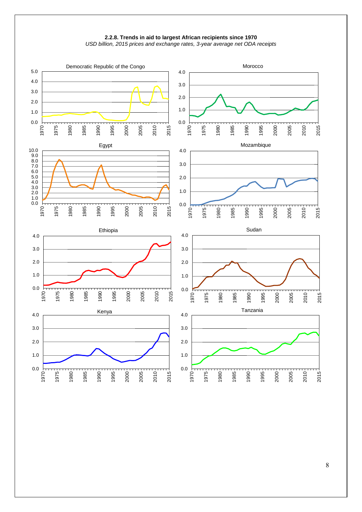



*USD billion, 2015 prices and exchange rates, 3-year average net ODA receipts*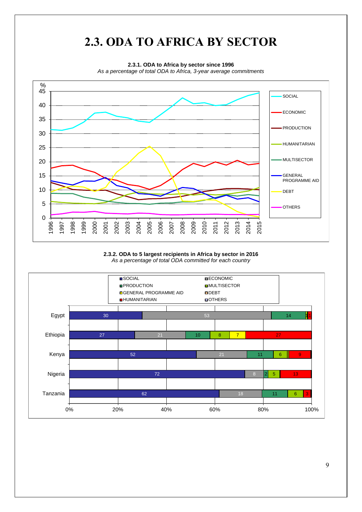

#### **2.3.2. ODA to 5 largest recipients in Africa by sector in 2016** *As a percentage of total ODA committed for each country*

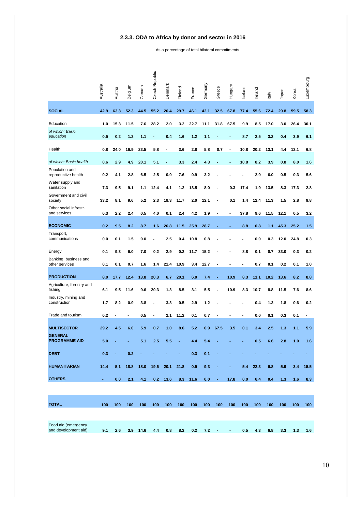#### **2.3.3. ODA to Africa by donor and sector in 2016**

As a percentage of total bilateral commitments

|                                             | Australia | Austria | Belgium | Canada | Czech Republic | Denmark | Finland | France | Germany | Greece | Hungary                  | Iceland | Ireland | taly | Japan | Korea | Luxembourg |
|---------------------------------------------|-----------|---------|---------|--------|----------------|---------|---------|--------|---------|--------|--------------------------|---------|---------|------|-------|-------|------------|
| <b>SOCIAL</b>                               | 42.9      | 63.3    | 52.3    | 44.5   | 55.2           | 26.4    | 29.7    | 46.1   | 42.1    | 32.5   | 67.8                     | 77.4    | 55.6    | 72.4 | 29.8  | 59.5  | 58.3       |
| Education                                   | 1.0       | 15.3    | 11.5    | 7.6    | 28.2           | 2.0     | 3.2     | 22.7   | 11.1    | 31.8   | 67.5                     | 9.9     | 8.5     | 17.0 | 3.0   | 26.4  | 30.1       |
| of which: Basic<br>education                | 0.5       | 0.2     | 1.2     | 1.1    |                | 0.4     | 1.6     | 1.2    | 1.1     |        |                          | 8.7     | 2.5     | 3.2  | 0.4   | 3.9   | 6.1        |
| Health                                      | 0.8       | 24.0    | 16.9    | 23.5   | 5.8            |         | 3.6     | 2.8    | 5.8     | 0.7    | $\overline{\phantom{a}}$ | 10.8    | 20.2    | 13.1 | 4.4   | 12.1  | 6.8        |
| of which: Basic health                      | 0.6       | 2.9     | 4.9     | 20.1   | 5.1            |         | 3.3     | 2.4    | 4.3     |        |                          | 10.8    | 8.2     | 3.9  | 0.8   | 8.0   | 1.6        |
| Population and<br>reproductive health       | 0.2       | 4.1     | 2.8     | 6.5    | 2.5            | 0.9     | 7.6     | 0.9    | 3.2     |        |                          |         | 2.9     | 6.0  | 0.5   | 0.3   | 5.6        |
| Water supply and<br>sanitation              | 7.3       | 9.5     | 9.1     | 1.1    | 12.4           | 4.1     | 1.2     | 13.5   | 8.0     |        | 0.3                      | 17.4    | 1.9     | 13.5 | 8.3   | 17.3  | 2.8        |
| Government and civil<br>society             | 33.2      | 8.1     | 9.6     | 5.2    | 2.3            | 19.3    | 11.7    | 2.0    | 12.1    |        | 0.1                      | 1.4     | 12.4    | 11.3 | 1.5   | 2.8   | 9.8        |
| Other social infrastr.<br>and services      | 0.3       | 2.2     | 2.4     | 0.5    | 4.0            | 0.1     | 2.4     | 4.2    | 1.9     |        |                          | 37.8    | 9.6     | 11.5 | 12.1  | 0.5   | 3.2        |
| <b>ECONOMIC</b>                             | 0.2       | 9.5     | 8.2     | 8.7    | 1.6            | 26.8    | 11.5    | 25.9   | 28.7    |        |                          | 8.8     | 0.8     | 1.1  | 45.3  | 25.2  | 1.5        |
| Transport,<br>communications                | 0.0       | 0.1     | 1.5     | 0.0    |                | 2.5     | 0.4     | 10.8   | 0.8     |        |                          |         | 0.0     | 0.3  | 12.0  | 24.8  | 0.3        |
| Energy                                      | 0.1       | 9.3     | 6.0     | 7.0    | 0.2            | 2.9     | 0.2     | 11.7   | 15.2    |        |                          | 8.8     | 0.1     | 0.7  | 33.0  | 0.3   | 0.2        |
| Banking, business and<br>other services     | 0.1       | 0.1     | 0.7     | 1.6    | 1.4            | 21.4    | 10.9    | 3.4    | 12.7    |        |                          |         | 0.7     | 0.1  | 0.2   | 0.1   | 1.0        |
| <b>PRODUCTION</b>                           | 8.0       | 17.7    | 12.4    | 13.8   | 20.3           | 6.7     | 20.1    | 6.0    | 7.4     |        | 10.9                     | 8.3     | 11.1    | 10.2 | 13.6  | 8.2   | 8.8        |
| Agriculture, forestry and<br>fishing        | 6.1       | 9.5     | 11.6    | 9.6    | 20.3           | 1.3     | 8.5     | 3.1    | 5.5     |        | 10.9                     | 8.3     | 10.7    | 8.8  | 11.5  | 7.6   | 8.6        |
| Industry, mining and<br>construction        | 1.7       | 8.2     | 0.9     | 3.8    |                | 3.3     | 0.5     | 2.9    | 1.2     |        |                          |         | 0.4     | 1.3  | 1.8   | 0.6   | 0.2        |
| Trade and tourism                           | 0.2       |         |         | 0.5    |                | 2.1     | 11.2    | 0.1    | 0.7     |        |                          |         | 0.0     | 0.1  | 0.3   | 0.1   |            |
| <b>MULTISECTOR</b>                          | 29.2      | 4.5     | 6.0     | 5.9    | 0.7            | 1.0     | 8.6     | 5.2    | 6.9     | 67.5   | 3.5                      | 0.1     | 3.4     | 2.5  | 1.3   | 1.1   | 5.9        |
| <b>GENERAL</b><br><b>PROGRAMME AID</b>      | 5.0       |         |         | 5.1    | 2.5            | 5.5     |         | 4.4    | 5.4     |        |                          |         | 0.5     | 6.6  | 2.8   | 1.0   | 1.6        |
| <b>DEBT</b>                                 | 0.3       |         | 0.2     |        |                |         |         | 0.3    | 0.1     |        |                          |         |         |      |       |       |            |
| <b>HUMANITARIAN</b>                         | 14.4      | 5.1     | 18.8    | 18.0   | 19.6           | 20.1    | 21.8    | 0.5    | 9.3     |        |                          | 5.4     | 22.3    | 6.8  | 5.9   | 3.4   | 15.5       |
| <b>OTHERS</b>                               | ÷,        | 0.0     | 2.1     | 4.1    | 0.2            | 13.6    | 8.3     | 11.6   | 0.0     |        | 17.8                     | 0.0     | 6.4     | 0.4  | 1.3   | 1.6   | 8.3        |
|                                             |           |         |         |        |                |         |         |        |         |        |                          |         |         |      |       |       |            |
| <b>TOTAL</b>                                | 100       | 100     | 100     | 100    | 100            | 100     | 100     | 100    | 100     | 100    | 100                      | 100     | 100     | 100  | 100   | 100   | 100        |
|                                             |           |         |         |        |                |         |         |        |         |        |                          |         |         |      |       |       |            |
| Food aid (emergency<br>and development aid) | 9.1       | 2.6     | 3.9     | 14.6   | 4.4            | 0.8     | 8.2     | 0.2    | 7.2     |        |                          | 0.5     | 4.3     | 6.8  | 3.3   | 1.3   | 1.6        |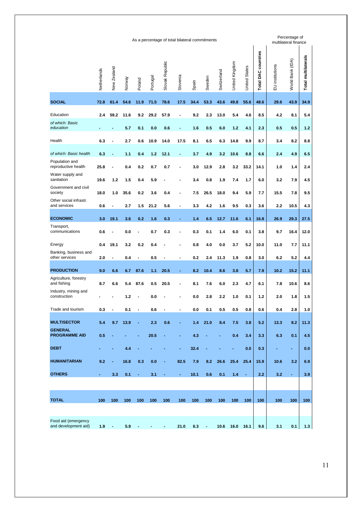|                                                                                                                                               |      |                |      |                          |      |                | As a percentage of total bilateral commitments |      |        |      |       |                      |                        |                 | Percentage of<br>multilateral finance |                     |
|-----------------------------------------------------------------------------------------------------------------------------------------------|------|----------------|------|--------------------------|------|----------------|------------------------------------------------|------|--------|------|-------|----------------------|------------------------|-----------------|---------------------------------------|---------------------|
| Slovak Republic<br>United Kingdom<br>New Zealand<br>Netherlands<br>Switzerland<br>Slovenia<br>Sweden<br>Portugal<br>Norway<br>Poland<br>Spain |      |                |      |                          |      |                |                                                |      |        |      |       | <b>United States</b> | DAC countries<br>Total | EU institutions | World Bank (IDA)                      | Total multilaterals |
| <b>SOCIAL</b>                                                                                                                                 | 72.8 | 61.4           | 54.6 | 11.9                     | 71.5 | 78.6           | 17.5                                           | 34.4 | 53.3   | 43.6 | 49.8  | 55.6                 | 48.6                   | 29.6            | 43.9                                  | 34.9                |
| Education                                                                                                                                     | 2.4  | 59.2           | 11.6 | 9.2                      | 29.2 | 57.9           | $\overline{a}$                                 | 9.2  | 2.3    | 13.0 | 5.4   | 4.6                  | 8.5                    | 4.2             | 8.1                                   | 5.4                 |
| of which: Basic<br>education                                                                                                                  |      |                | 5.7  | 0.1                      | 0.0  | 0.6            | ٠                                              | 1.6  | 0.5    | 6.0  | $1.2$ | 4.1                  | 2.3                    | 0.5             | 0.5                                   | 1.2                 |
| Health                                                                                                                                        | 6.3  |                | 2.7  | 0.6                      | 10.9 | 14.0           | 17.5                                           | 8.1  | 6.5    | 6.3  | 14.8  | 9.9                  | 8.7                    | 3.4             | 8.2                                   | 8.8                 |
| of which: Basic health                                                                                                                        | 6.3  | $\overline{a}$ | 1.1  | 0.4                      | 1.2  | 12.1           | $\qquad \qquad \blacksquare$                   | 3.7  | 4.9    | 3.2  | 10.6  | 8.8                  | 6.6                    | 2.4             | 4.9                                   | 6.5                 |
| Population and<br>reproductive health                                                                                                         | 25.8 |                | 0.4  | 0.2                      | 0.7  | 0.7            | $\blacksquare$                                 | 3.0  | 12.9   | 2.8  | 3.2   | 33.2                 | 14.1                   | 1.0             | 1.4                                   | 2.4                 |
| Water supply and<br>sanitation                                                                                                                | 19.6 | 1.2            | 1.5  | 0.4                      | 5.9  |                |                                                | 3.4  | 0.8    | 1.9  | 7.4   | 1.7                  | 6.0                    | 3.2             | 7.9                                   | 4.5                 |
| Government and civil<br>society                                                                                                               | 18.0 | 1.0            | 35.6 | 0.2                      | 3.6  | 0.4            |                                                | 7.5  | 26.5   | 18.0 | 9.4   | 5.9                  | 7.7                    | 15.5            | 7.8                                   | 9.5                 |
| Other social infrastr.<br>and services                                                                                                        | 0.6  | $\blacksquare$ | 2.7  | 1.5                      | 21.2 | 5.6            | $\overline{a}$                                 | 3.3  | 4.2    | 1.6  | 9.5   | 0.3                  | 3.6                    | 2.2             | 10.5                                  | 4.3                 |
|                                                                                                                                               |      |                |      |                          |      |                |                                                |      |        |      |       |                      |                        |                 |                                       |                     |
| <b>ECONOMIC</b><br>Transport,                                                                                                                 | 3.0  | 19.1           | 3.6  | 0.2                      | 1.6  | 0.3            |                                                | 1.4  | 6.5    | 12.7 | 11.6  | 6.1                  | 16.8                   | 26.9            | 29.3                                  | 27.5                |
| communications                                                                                                                                | 0.6  |                | 0.0  |                          | 0.7  | 0.3            |                                                | 0.3  | 0.1    | 1.4  | 6.0   | 0.1                  | 3.8                    | 9.7             | 16.4                                  | 12.0                |
| Energy<br>Banking, business and                                                                                                               | 0.4  | 19.1           | 3.2  | 0.2                      | 0.4  |                |                                                | 0.8  | 4.0    | 0.0  | 3.7   | 5.2                  | 10.0                   | 11.0            | 7.7                                   | 11.1                |
| other services                                                                                                                                | 2.0  |                | 0.4  | $\overline{\phantom{a}}$ | 0.5  |                |                                                | 0.2  | 2.4    | 11.3 | 1.9   | 0.8                  | 3.0                    | 6.2             | 5.2                                   | 4.4                 |
| <b>PRODUCTION</b><br>Agriculture, forestry                                                                                                    | 9.0  | 6.6            | 6.7  | 87.6                     | 1.1  | 20.5           | ٠                                              | 8.2  | 10.4   | 8.6  | 3.8   | 5.7                  | 7.9                    | 10.2            | 15.2                                  | 11.1                |
| and fishing                                                                                                                                   | 8.7  | 6.6            | 5.4  | 87.6                     | 0.5  | 20.5           |                                                | 8.1  | 7.6    | 6.0  | 2.3   | 4.7                  | 6.1                    | 7.8             | 10.6                                  | 8.6                 |
| Industry, mining and<br>construction                                                                                                          |      |                | 1.2  |                          | 0.0  |                |                                                | 0.0  | 2.8    | 2.2  | 1.0   | 0.1                  | 1.2                    | 2.0             | 1.8                                   | 1.5                 |
| Trade and tourism                                                                                                                             | 0.3  | $\blacksquare$ | 0.1  | $\overline{\phantom{a}}$ | 0.6  |                |                                                | 0.0  | 0.1    | 0.5  | 0.5   | 0.8                  | 0.6                    | 0.4             | 2.8                                   | 1.0                 |
| <b>MULTISECTOR</b>                                                                                                                            | 5.4  | 9.7            | 13.9 | $\blacksquare$           | 2.3  | 0.6            | ۰                                              | 1.4  | 21.0   | 8.4  | 7.5   | 3.8                  | 5.2                    | 13.3            | 8.2                                   | 11.3                |
| <b>GENERAL</b><br><b>PROGRAMME AID</b>                                                                                                        | 0.5  |                |      |                          | 20.5 |                |                                                | 4.3  |        |      | 0.4   | 3.4                  | 3.3                    | 6.3             | 0.1                                   | 4.5                 |
| <b>DEBT</b>                                                                                                                                   |      |                | 4.4  |                          |      |                | ÷,                                             | 32.4 |        |      |       | 0.0                  | 0.3                    | ٠               | ٠                                     | 0.0                 |
| <b>HUMANITARIAN</b>                                                                                                                           | 9.2  |                | 16.8 | 0.3                      | 0.0  |                | 82.5                                           | 7.9  | 8.2    | 26.6 | 25.4  | 25.4                 | 15.9                   | 10.6            | 3.2                                   | 6.9                 |
| <b>OTHERS</b>                                                                                                                                 | ÷.   | 3.3            | 0.1  | $\blacksquare$           | 3.1  | $\blacksquare$ | $\blacksquare$                                 | 10.1 | 0.6    | 0.1  | 1.4   | $\blacksquare$       | 2.2                    | 3.2             | $\blacksquare$                        | 3.9                 |
|                                                                                                                                               |      |                |      |                          |      |                |                                                |      |        |      |       |                      |                        |                 |                                       |                     |
| <b>TOTAL</b>                                                                                                                                  | 100  | 100            | 100  | 100                      | 100  | 100            | 100                                            | 100  | 100    | 100  | 100   | 100                  | 100                    | 100             | 100                                   | 100                 |
|                                                                                                                                               |      |                |      |                          |      |                |                                                |      |        |      |       |                      |                        |                 |                                       |                     |
| Food aid (emergency<br>and development aid)                                                                                                   | 1.9  | $\sim$         | 5.9  |                          |      |                | 21.0                                           | 6.3  | $\sim$ | 10.6 |       | 16.0 16.1            | 9.6                    | 3.1             | 0.1                                   | 1.3                 |
|                                                                                                                                               |      |                |      |                          |      |                |                                                |      |        |      |       |                      |                        |                 |                                       |                     |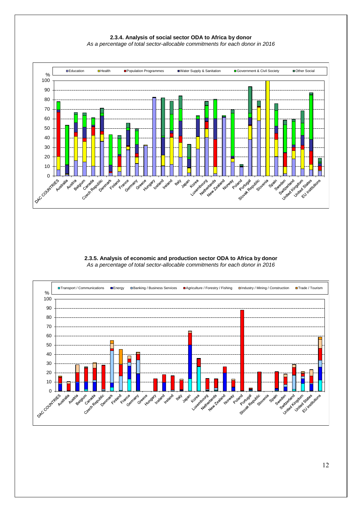**2.3.4. Analysis of social sector ODA to Africa by donor** *As a percentage of total sector-allocable commitments for each donor in 2016*



**2.3.5. Analysis of economic and production sector ODA to Africa by donor** *As a percentage of total sector-allocable commitments for each donor in 2016*

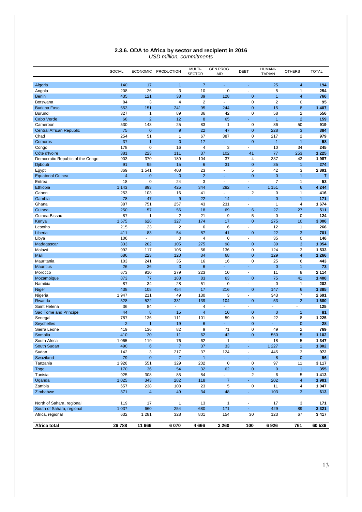|                                  | SOCIAL         | <b>ECONOMIC</b>             | <b>PRODUCTION</b> | MULTI-<br><b>SECTOR</b> | GEN.PROG.<br>AID | <b>DEBT</b>       | <b>HUMANI-</b><br><b>TARIAN</b> | <b>OTHERS</b>           | <b>TOTAL</b>   |
|----------------------------------|----------------|-----------------------------|-------------------|-------------------------|------------------|-------------------|---------------------------------|-------------------------|----------------|
|                                  | 140            |                             | $\mathbf{1}$      | $\overline{7}$          | L,               |                   |                                 | $\overline{4}$          |                |
| Algeria                          | 208            | 17<br>26                    | 3                 | 10                      | $\mathbf 0$      | ä,                | 25<br>5                         | $\mathbf{1}$            | 194<br>254     |
| Angola<br><b>Benin</b>           | 435            | 121                         | 38                | 39                      | 128              | 0                 | $\overline{1}$                  | $\overline{4}$          | 766            |
| <b>Botswana</b>                  | 84             | 3                           | 4                 | $\overline{2}$          | $\blacksquare$   | $\mathbf 0$       | $\overline{\mathbf{c}}$         | $\mathbf 0$             | 95             |
| <b>Burkina Faso</b>              | 653            | 151                         | 241               | 95                      | 244              | $\overline{0}$    | 15                              | 8                       | 1 4 0 7        |
| Burundi                          | 327            | $\mathbf{1}$                | 89                | 36                      | 42               | $\mathbf 0$       | 58                              | $\overline{2}$          | 556            |
| Cabo Verde                       | 68             | $\overline{2}$              | 12                | 8                       | 65               | ä,                | $\overline{1}$                  | $\overline{2}$          | 159            |
| Cameroon                         | 530            | 143                         | 25                | 83                      | $\mathbf{1}$     | $\mathbf 0$       | 86                              | 50                      | 919            |
| <b>Central African Republic</b>  | 75             | $\overline{0}$              | $\overline{9}$    | 22                      | 47               | $\mathbf{0}$      | 228                             | 3                       | 384            |
| Chad                             | 254            | 51                          | 1                 | 67                      | 387              | $\mathbf 0$       | 217                             | $\overline{2}$          | 979            |
| Comoros                          | 37             | $\overline{1}$              | 0                 | 17                      | ÷                | $\mathbf 0$       | 1                               | $\mathbf{1}$            | 58             |
| Congo                            | 178            | $\mathbf 0$                 | 16                | $\overline{4}$          | 3                | ÷                 | 10                              | 34                      | 245            |
| Côte d'Ivoire                    | 381            | 223                         | 111               | 37                      | 102              | 41                | 77                              | 253                     | 1 2 2 5        |
| Democratic Republic of the Congo | 903            | 370                         | 189               | 104                     | 37               | 4                 | 337                             | 43                      | 1987           |
| <b>Djibouti</b>                  | 91             | 95                          | 15                | 6                       | 31               | $\mathbf{0}$      | 35                              | $\mathbf{1}$            | 274            |
| Egypt                            | 869            | 1541                        | 408               | 23                      | $\mathbf{r}$     | 5                 | 42                              | 3                       | 2891           |
| <b>Equatorial Guinea</b>         | $\overline{4}$ | $\overline{0}$              | $\mathbf 0$       | $\overline{2}$          |                  | $\overline{0}$    | $\mathbf{0}$                    | $\overline{1}$          | $\overline{7}$ |
| Eritrea                          | 18             | $\mathbf 0$                 | 24                | 3                       | $\mathbf{r}$     | ä,                | $\overline{7}$                  | $\mathbf{1}$            | 53             |
| Ethiopia                         | 1 1 4 3        | 893                         | 425               | 344                     | 282              | ÷.                | 1 1 5 1                         | 6                       | 4 2 4 4        |
| Gabon                            | 253            | 103                         | 16                | 41                      | ä,               | $\overline{2}$    | $\mathbf 0$                     | $\mathbf{1}$            | 416            |
| Gambia                           | 78             | 47                          | 9                 | 22                      | 14               | Ξ                 | $\overline{0}$                  | $\mathbf{1}$            | 171            |
| Ghana                            | 387            | 751                         | 257               | 43                      | 231              | Ĭ.                | $\mathbf{1}$                    | $\overline{4}$          | 1674           |
| Guinea                           | 250            | 57                          | 56                | 18                      | 69               | 6                 | 27                              | 27                      | 511            |
| Guinea-Bissau                    | 87             | $\mathbf{1}$                | $\overline{2}$    | 21                      | 9                | 5                 | $\mathbf 0$                     | $\mathbf 0$             | 124            |
| Kenya                            | 1575           | 628                         | 327               | 174                     | 17               | $\overline{0}$    | 275                             | 10                      | 3 0 0 6        |
| Lesotho                          | 215            | 23                          | $\overline{2}$    | 6                       | 6                | ä,                | 12                              | $\mathbf{1}$            | 266            |
| Liberia                          | 411            | 83                          | 54                | 87                      | 41               | $\mathbf{0}$      | 22                              | 3                       | 701            |
| Libya                            | 106            | $\mathcal{L}_{\mathcal{A}}$ | 0                 | $\overline{\mathbf{4}}$ | 0                | $\omega$          | 35                              | 0                       | 146            |
| Madagascar                       | 333            | 202                         | 105               | 275                     | 98               | $\mathbf 0$       | 39                              | 3                       | 1 0 5 4        |
| Malawi                           | 992            | 117                         | 105               | 56                      | 136              | $\mathbf 0$       | 124                             | 3                       | 1533           |
| Mali                             | 686            | 223                         | 120               | 34                      | 68               | $\mathbf{0}$      | 129                             | $\overline{4}$          | 1 2 6 6        |
| Mauritania                       | 103            | 241                         | 35                | 16                      | 16<br>ä,         | $\mathbf 0$<br>ä, | 25<br>$\mathbf{0}$              | 6                       | 443            |
| <b>Mauritius</b><br>Morocco      | 26<br>673      | 36<br>910                   | 3<br>279          | 6<br>223                | 10               | ä,                | 11                              | $\mathbf{1}$<br>8       | 73<br>2 1 1 4  |
| Mozambique                       | 873            | 77                          | 188               | 83                      | 63               | $\mathbf 0$       | 75                              | 41                      | 1 400          |
| Namibia                          | 87             | 34                          | 28                | 51                      | $\mathbf 0$      | $\omega$          | $\mathbf 0$                     | 1                       | 202            |
| Niger                            | 438            | 108                         | 454               | 17                      | 216              | $\mathbf{0}$      | 147                             | 6                       | 1 3 8 5        |
| Nigeria                          | 1947           | 211                         | 49                | 130                     | 3                | $\blacksquare$    | 343                             | $\overline{7}$          | 2691           |
| Rwanda                           | 528            | 522                         | 331               | 139                     | 104              | $\overline{0}$    | 53                              | $\overline{2}$          | 1680           |
| Saint Helena                     | 36             | 84                          | ä,                | 4                       | ä,               | Ĩ.                | ×.                              |                         | 125            |
| Sao Tome and Principe            | 44             | 8                           | 15                | $\overline{4}$          | 10               | $\mathbf 0$       | $\mathbf{0}$                    | $\overline{1}$          | 81             |
| Senegal                          | 787            | 136                         | 111               | 101                     | 59               | $\mathbf 0$       | 22                              | 8                       | 1 2 2 5        |
| <b>Seychelles</b>                | $\overline{2}$ | $\overline{1}$              | 19                | 6                       |                  | $\mathbf 0$       |                                 | $\mathbf 0$             | 28             |
| Sierra Leone                     | 419            | 136                         | 82                | 9                       | 71               | $\mathbf 0$       | 49                              | $\overline{2}$          | 769            |
| Somalia                          | 410            | 20                          | 11                | 62                      | 42               | $\mathbf 0$       | 550                             | 5                       | 1 1 0 2        |
| South Africa                     | 1 0 6 5        | 119                         | 76                | 62                      | 1                | $\blacksquare$    | 18                              | 5                       | 1 3 4 7        |
| South Sudan                      | 490            | $\boldsymbol{6}$            | $\boldsymbol{7}$  | 37                      | 33               | $\blacksquare$    | 1 2 2 7                         | $\overline{1}$          | 1802           |
| Sudan                            | 142            | 3                           | 217               | 37                      | 124              | ÷.                | 445                             | 3                       | 972            |
| Swaziland                        | 79             | $\mathbf{0}$                | $\overline{7}$    | $\overline{1}$          | ÷                | ÷,                | 8                               | $\mathbf 0$             | 96             |
| Tanzania                         | 1926           | 551                         | 329               | 202                     | $\pmb{0}$        | $\mathbf 0$       | 97                              | 11                      | 3 1 1 7        |
| Togo                             | 170            | 36                          | 54                | 32                      | 62               | $\mathbf{0}$      | $\mathbf{0}$                    | $\mathbf{1}$            | 355            |
| Tunisia                          | 925            | 308                         | 85                | 84                      | ¥.               | $\overline{2}$    | 6                               | 5                       | 1413           |
| Uganda                           | 1 0 2 5        | 343                         | 282               | 118                     | $\overline{7}$   | ä,                | 202                             | $\overline{\mathbf{4}}$ | 1981           |
| Zambia                           | 657            | 238                         | 108               | 23                      | 5                | $\pmb{0}$         | 11                              | $\overline{\mathbf{4}}$ | 1 0 4 7        |
| Zimbabwe                         | 371            | $\overline{4}$              | 49                | 34                      | 48               | ÷.                | 103                             | 3                       | 613            |
|                                  |                |                             |                   |                         |                  |                   |                                 |                         |                |
| North of Sahara, regional        | 119            | 17                          | $\mathbf{1}$      | 13                      | 1                | $\blacksquare$    | 17                              | 3                       | 171            |
| South of Sahara, regional        | 1 0 3 7        | 660                         | 254               | 680                     | 171              |                   | 429                             | 89                      | 3 3 2 1        |
| Africa, regional                 | 632            | 1 2 8 1                     | 328               | 801                     | 154              | 30                | 123                             | 67                      | 3417           |
| Africa total                     | 26 788         | 11 966                      | 6 0 7 0           | 4666                    | 3 2 6 0          | 100               | 6926                            | 761                     | 60 536         |

#### **2.3.6. ODA to Africa by sector and recipient in 2016** *USD million, commitments*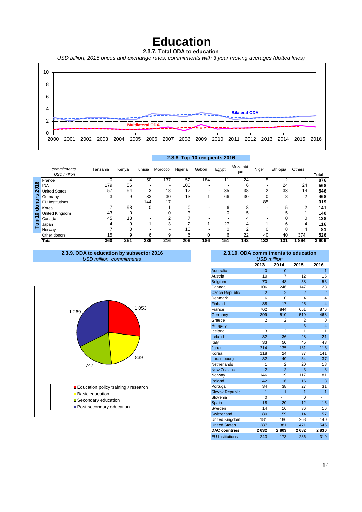### **Education**

**2.3.7. Total ODA to education** 

*USD billion, 2015 prices and exchange rates, commitments with 3 year moving averages (dotted lines)*



|      |                                    |          |       |         | 2.3.8. Top 10 recipients 2016 |         |          |       |                |       |          |        |              |
|------|------------------------------------|----------|-------|---------|-------------------------------|---------|----------|-------|----------------|-------|----------|--------|--------------|
|      | commitments,<br><b>USD million</b> | Tanzania | Kenya | Tunisia | Morocco                       | Nigeria | Gabon    | Egypt | Mozambi<br>que | Niger | Ethiopia | Others | <b>Total</b> |
|      | France                             |          | 4     | 50      | 137                           | 52      | 184      | 11    | 24             | 5     |          |        | 876          |
| 2016 | <b>IDA</b>                         | 179      | 56    |         | -                             | 100     | ۰        |       | 6              |       | 24       | 24     | 568          |
|      | <b>United States</b>               | 57       | 54    | 3       | 18                            | 17      | -        | 35    | 38             | ◠     | 33       | 14     | 546          |
| ၑၟ   | Germany                            |          | 9     | 33      | 30                            | 13      |          | 66    | 30             |       | 8        | ◠      | 468          |
| 2    | <b>EU</b> Institutions             |          |       | 144     | 17                            |         |          | -     |                | 85    |          |        | 319          |
| 용    | Korea                              |          | 98    | 0       |                               |         |          | 6     | ົ              |       |          |        | 141          |
| 0    | United Kingdom                     | 43       | 0     |         |                               |         |          |       |                |       |          |        | 140          |
|      | Canada                             | 45       | 13    |         |                               |         |          |       |                |       |          |        | 128          |
| Top  | Japan                              |          | 9     |         | 3                             |         |          | 27    |                |       |          |        | 116          |
|      | Norway                             |          |       |         |                               | 10      |          |       |                |       |          |        | 81           |
|      | Other donors                       | 15       | 9     | 6       | 9                             | 6       | $\Omega$ | 6     | 22             | 40    | 40       | 374    | 526          |
|      | <b>Total</b>                       | 360      | 251   | 236     | 216                           | 209     | 186      | 151   | 142            | 132   | 131      | 1894   | 3 9 0 9      |

#### **2.3.8. Top 10 recipients 2016**

**2.3.9. ODA to education by subsector 2016** *USD million, commitments*



#### **2.3.10. ODA commitments to education**

| 2014<br>2015<br>2013<br>2016<br><b>Australia</b><br>$\overline{1}$<br>$\overline{0}$<br>$\Omega$<br>10<br>$\overline{7}$<br>12<br>Austria<br>15<br>70<br>48<br>58<br>53<br>Belgium<br>147<br>Canada<br>106<br>246<br>128<br><b>Czech Republic</b><br>$\mathfrak{p}$<br>$\overline{2}$<br>$\overline{2}$<br>2<br>6<br>$\Omega$<br>4<br>4<br>Denmark<br>$\overline{4}$<br>Finland<br>38<br>17<br>25<br>762<br>844<br>France<br>651<br>876<br>510<br>519<br>399<br>468<br>Germany<br>$\overline{2}$<br>2<br>2<br>0<br>Greece<br>3<br>$\overline{4}$<br>Hungary<br>Ξ<br>٠<br>Iceland<br>3<br>$\overline{2}$<br>1<br>1<br>32<br>36<br>28<br>21<br>Ireland<br>Italy<br>33<br>50<br>45<br>43<br>214<br>135<br>131<br>116<br>Japan<br>118<br>Korea<br>24<br>37<br>141<br>Luxembourg<br>32<br>40<br>34<br>37<br>Netherlands<br>1<br>$\overline{2}$<br>20<br>18<br><b>New Zealand</b><br>$\overline{2}$<br>$\overline{2}$<br>3<br>3<br>146<br>119<br>117<br>81<br>Norway<br>Poland<br>42<br>16<br>16<br>8<br>34<br>38<br>27<br>31<br>Portugal<br>$\overline{1}$<br><b>Slovak Republic</b><br>1<br>1<br>1<br>Slovenia<br>0<br>0<br>15<br>Spain<br>18<br>20<br>12<br>14<br>Sweden<br>16<br>36<br>16<br>14<br>Switzerland<br>80<br>59<br>57<br><b>United Kingdom</b><br>181<br>186<br>263<br>140<br><b>United States</b><br>471<br>546<br>287<br>381<br>2632<br><b>DAC</b> countries<br>2803<br>2682<br>2830<br><b>EU</b> Institutions<br>243<br>173<br>236<br>319 | <b>USD million</b> |  |  |  |  |  |  |  |  |  |  |  |
|-------------------------------------------------------------------------------------------------------------------------------------------------------------------------------------------------------------------------------------------------------------------------------------------------------------------------------------------------------------------------------------------------------------------------------------------------------------------------------------------------------------------------------------------------------------------------------------------------------------------------------------------------------------------------------------------------------------------------------------------------------------------------------------------------------------------------------------------------------------------------------------------------------------------------------------------------------------------------------------------------------------------------------------------------------------------------------------------------------------------------------------------------------------------------------------------------------------------------------------------------------------------------------------------------------------------------------------------------------------------------------------------------------------------------------------------------------|--------------------|--|--|--|--|--|--|--|--|--|--|--|
|                                                                                                                                                                                                                                                                                                                                                                                                                                                                                                                                                                                                                                                                                                                                                                                                                                                                                                                                                                                                                                                                                                                                                                                                                                                                                                                                                                                                                                                       |                    |  |  |  |  |  |  |  |  |  |  |  |
|                                                                                                                                                                                                                                                                                                                                                                                                                                                                                                                                                                                                                                                                                                                                                                                                                                                                                                                                                                                                                                                                                                                                                                                                                                                                                                                                                                                                                                                       |                    |  |  |  |  |  |  |  |  |  |  |  |
|                                                                                                                                                                                                                                                                                                                                                                                                                                                                                                                                                                                                                                                                                                                                                                                                                                                                                                                                                                                                                                                                                                                                                                                                                                                                                                                                                                                                                                                       |                    |  |  |  |  |  |  |  |  |  |  |  |
|                                                                                                                                                                                                                                                                                                                                                                                                                                                                                                                                                                                                                                                                                                                                                                                                                                                                                                                                                                                                                                                                                                                                                                                                                                                                                                                                                                                                                                                       |                    |  |  |  |  |  |  |  |  |  |  |  |
|                                                                                                                                                                                                                                                                                                                                                                                                                                                                                                                                                                                                                                                                                                                                                                                                                                                                                                                                                                                                                                                                                                                                                                                                                                                                                                                                                                                                                                                       |                    |  |  |  |  |  |  |  |  |  |  |  |
|                                                                                                                                                                                                                                                                                                                                                                                                                                                                                                                                                                                                                                                                                                                                                                                                                                                                                                                                                                                                                                                                                                                                                                                                                                                                                                                                                                                                                                                       |                    |  |  |  |  |  |  |  |  |  |  |  |
|                                                                                                                                                                                                                                                                                                                                                                                                                                                                                                                                                                                                                                                                                                                                                                                                                                                                                                                                                                                                                                                                                                                                                                                                                                                                                                                                                                                                                                                       |                    |  |  |  |  |  |  |  |  |  |  |  |
|                                                                                                                                                                                                                                                                                                                                                                                                                                                                                                                                                                                                                                                                                                                                                                                                                                                                                                                                                                                                                                                                                                                                                                                                                                                                                                                                                                                                                                                       |                    |  |  |  |  |  |  |  |  |  |  |  |
|                                                                                                                                                                                                                                                                                                                                                                                                                                                                                                                                                                                                                                                                                                                                                                                                                                                                                                                                                                                                                                                                                                                                                                                                                                                                                                                                                                                                                                                       |                    |  |  |  |  |  |  |  |  |  |  |  |
|                                                                                                                                                                                                                                                                                                                                                                                                                                                                                                                                                                                                                                                                                                                                                                                                                                                                                                                                                                                                                                                                                                                                                                                                                                                                                                                                                                                                                                                       |                    |  |  |  |  |  |  |  |  |  |  |  |
|                                                                                                                                                                                                                                                                                                                                                                                                                                                                                                                                                                                                                                                                                                                                                                                                                                                                                                                                                                                                                                                                                                                                                                                                                                                                                                                                                                                                                                                       |                    |  |  |  |  |  |  |  |  |  |  |  |
|                                                                                                                                                                                                                                                                                                                                                                                                                                                                                                                                                                                                                                                                                                                                                                                                                                                                                                                                                                                                                                                                                                                                                                                                                                                                                                                                                                                                                                                       |                    |  |  |  |  |  |  |  |  |  |  |  |
|                                                                                                                                                                                                                                                                                                                                                                                                                                                                                                                                                                                                                                                                                                                                                                                                                                                                                                                                                                                                                                                                                                                                                                                                                                                                                                                                                                                                                                                       |                    |  |  |  |  |  |  |  |  |  |  |  |
|                                                                                                                                                                                                                                                                                                                                                                                                                                                                                                                                                                                                                                                                                                                                                                                                                                                                                                                                                                                                                                                                                                                                                                                                                                                                                                                                                                                                                                                       |                    |  |  |  |  |  |  |  |  |  |  |  |
|                                                                                                                                                                                                                                                                                                                                                                                                                                                                                                                                                                                                                                                                                                                                                                                                                                                                                                                                                                                                                                                                                                                                                                                                                                                                                                                                                                                                                                                       |                    |  |  |  |  |  |  |  |  |  |  |  |
|                                                                                                                                                                                                                                                                                                                                                                                                                                                                                                                                                                                                                                                                                                                                                                                                                                                                                                                                                                                                                                                                                                                                                                                                                                                                                                                                                                                                                                                       |                    |  |  |  |  |  |  |  |  |  |  |  |
|                                                                                                                                                                                                                                                                                                                                                                                                                                                                                                                                                                                                                                                                                                                                                                                                                                                                                                                                                                                                                                                                                                                                                                                                                                                                                                                                                                                                                                                       |                    |  |  |  |  |  |  |  |  |  |  |  |
|                                                                                                                                                                                                                                                                                                                                                                                                                                                                                                                                                                                                                                                                                                                                                                                                                                                                                                                                                                                                                                                                                                                                                                                                                                                                                                                                                                                                                                                       |                    |  |  |  |  |  |  |  |  |  |  |  |
|                                                                                                                                                                                                                                                                                                                                                                                                                                                                                                                                                                                                                                                                                                                                                                                                                                                                                                                                                                                                                                                                                                                                                                                                                                                                                                                                                                                                                                                       |                    |  |  |  |  |  |  |  |  |  |  |  |
|                                                                                                                                                                                                                                                                                                                                                                                                                                                                                                                                                                                                                                                                                                                                                                                                                                                                                                                                                                                                                                                                                                                                                                                                                                                                                                                                                                                                                                                       |                    |  |  |  |  |  |  |  |  |  |  |  |
|                                                                                                                                                                                                                                                                                                                                                                                                                                                                                                                                                                                                                                                                                                                                                                                                                                                                                                                                                                                                                                                                                                                                                                                                                                                                                                                                                                                                                                                       |                    |  |  |  |  |  |  |  |  |  |  |  |
|                                                                                                                                                                                                                                                                                                                                                                                                                                                                                                                                                                                                                                                                                                                                                                                                                                                                                                                                                                                                                                                                                                                                                                                                                                                                                                                                                                                                                                                       |                    |  |  |  |  |  |  |  |  |  |  |  |
|                                                                                                                                                                                                                                                                                                                                                                                                                                                                                                                                                                                                                                                                                                                                                                                                                                                                                                                                                                                                                                                                                                                                                                                                                                                                                                                                                                                                                                                       |                    |  |  |  |  |  |  |  |  |  |  |  |
|                                                                                                                                                                                                                                                                                                                                                                                                                                                                                                                                                                                                                                                                                                                                                                                                                                                                                                                                                                                                                                                                                                                                                                                                                                                                                                                                                                                                                                                       |                    |  |  |  |  |  |  |  |  |  |  |  |
|                                                                                                                                                                                                                                                                                                                                                                                                                                                                                                                                                                                                                                                                                                                                                                                                                                                                                                                                                                                                                                                                                                                                                                                                                                                                                                                                                                                                                                                       |                    |  |  |  |  |  |  |  |  |  |  |  |
|                                                                                                                                                                                                                                                                                                                                                                                                                                                                                                                                                                                                                                                                                                                                                                                                                                                                                                                                                                                                                                                                                                                                                                                                                                                                                                                                                                                                                                                       |                    |  |  |  |  |  |  |  |  |  |  |  |
|                                                                                                                                                                                                                                                                                                                                                                                                                                                                                                                                                                                                                                                                                                                                                                                                                                                                                                                                                                                                                                                                                                                                                                                                                                                                                                                                                                                                                                                       |                    |  |  |  |  |  |  |  |  |  |  |  |
|                                                                                                                                                                                                                                                                                                                                                                                                                                                                                                                                                                                                                                                                                                                                                                                                                                                                                                                                                                                                                                                                                                                                                                                                                                                                                                                                                                                                                                                       |                    |  |  |  |  |  |  |  |  |  |  |  |
|                                                                                                                                                                                                                                                                                                                                                                                                                                                                                                                                                                                                                                                                                                                                                                                                                                                                                                                                                                                                                                                                                                                                                                                                                                                                                                                                                                                                                                                       |                    |  |  |  |  |  |  |  |  |  |  |  |
|                                                                                                                                                                                                                                                                                                                                                                                                                                                                                                                                                                                                                                                                                                                                                                                                                                                                                                                                                                                                                                                                                                                                                                                                                                                                                                                                                                                                                                                       |                    |  |  |  |  |  |  |  |  |  |  |  |
|                                                                                                                                                                                                                                                                                                                                                                                                                                                                                                                                                                                                                                                                                                                                                                                                                                                                                                                                                                                                                                                                                                                                                                                                                                                                                                                                                                                                                                                       |                    |  |  |  |  |  |  |  |  |  |  |  |
|                                                                                                                                                                                                                                                                                                                                                                                                                                                                                                                                                                                                                                                                                                                                                                                                                                                                                                                                                                                                                                                                                                                                                                                                                                                                                                                                                                                                                                                       |                    |  |  |  |  |  |  |  |  |  |  |  |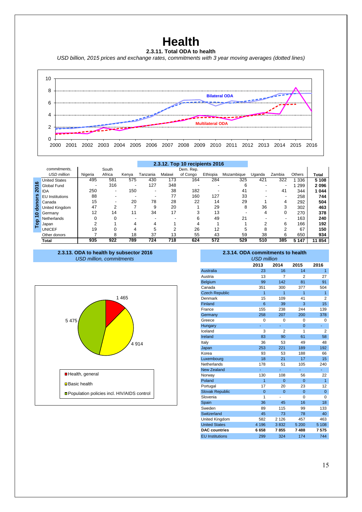### **Health**

#### **2.3.11. Total ODA to health**

*USD billion, 2015 prices and exchange rates, commitments with 3 year moving averages (dotted lines)*



|                  |                        |         |        |       |          |        | 2.3.12. Top 10 recipients 2016 |          |            |        |          |               |              |
|------------------|------------------------|---------|--------|-------|----------|--------|--------------------------------|----------|------------|--------|----------|---------------|--------------|
|                  | commitments,           |         | South  |       |          |        | Dem. Rep.                      |          |            |        |          |               |              |
|                  | <b>USD million</b>     | Nigeria | Africa | Kenya | Tanzania | Malawi | of Congo                       | Ethiopia | Mozambique | Uganda | Zambia   | <b>Others</b> | <b>Total</b> |
| $\mathbf{c}$     | <b>United States</b>   | 495     | 581    | 575   | 430      | 173    | 164                            | 284      | 325        | 421    | 322      | 336           | 5108         |
|                  | Global Fund            |         | 316    |       | 127      | 348    |                                |          | 6          |        |          | 299           | 2096         |
| $\overline{201}$ | <b>IDA</b>             | 250     |        | 150   |          | 38     | 182                            |          | 41         |        | 41       | 344           | 1044         |
| ၑၟ               | <b>EU</b> Institutions | 88      |        |       |          | 77     | 160                            | 127      | 33         |        |          | 258           | 744          |
| ၔႍ               | Canada                 | 15      |        | 20    | 78       | 28     | 22                             | 14       | 29         |        | 4        | 292           | 504          |
| 응                | United Kingdom         | 47      | C      |       | 9        | 20     |                                | 29       | 8          | 36     | 3        | 302           | 463          |
| $\bullet$        | Germany                | 12      | 14     | 11    | 34       | 17     | $\sqrt{2}$                     | 13       |            | 4      | $\Omega$ | 270           | 378          |
| $\Omega$         | Netherlands            |         |        |       |          |        |                                | 49       | 21         |        |          | 163           | 240          |
| ဥ                | Japan                  |         |        |       | 4        |        |                                |          |            | າ      | 6        | 166           | 192          |
|                  | <b>UNICEF</b>          | 19      |        |       | 5        |        | 26                             | 12       |            | 8      | $\sim$   | 67            | 150          |
|                  | Other donors           |         | 8      | 18    | 37       | 13     | 55                             | 43       | 59         | 38     | 6        | 650           | 934          |
|                  | Total                  | 935     | 922    | 789   | 724      | 718    | 624                            | 572      | 529        | 510    | 385      | 5 1 4 7       | 11854        |

*USD million, commitments* **2.3.13. ODA to health by subsector 2016 2.3.14. ODA commitments to health**



| 2.3.14. ODA commitments to health<br><b>USD million</b> |                |                |          |                  |  |  |  |  |  |  |  |  |
|---------------------------------------------------------|----------------|----------------|----------|------------------|--|--|--|--|--|--|--|--|
| 2013<br>2014<br>2015<br>2016                            |                |                |          |                  |  |  |  |  |  |  |  |  |
| <b>Australia</b>                                        | 23             | 16             | 14       | $\overline{1}$   |  |  |  |  |  |  |  |  |
| Austria                                                 | 13             | 7              | 2        | 27               |  |  |  |  |  |  |  |  |
| Belgium                                                 | 99             | 142            | 81       | 91               |  |  |  |  |  |  |  |  |
| Canada                                                  | 351            | 300            | 377      | 504              |  |  |  |  |  |  |  |  |
| <b>Czech Republic</b>                                   | $\overline{1}$ | $\overline{1}$ | 1        | $\overline{1}$   |  |  |  |  |  |  |  |  |
| Denmark                                                 | 15             | 109            | 41       | $\overline{2}$   |  |  |  |  |  |  |  |  |
| Finland                                                 | 6              | 39             | 3        | 15 <sup>15</sup> |  |  |  |  |  |  |  |  |
| France                                                  | 155            | 238            | 244      | 139              |  |  |  |  |  |  |  |  |
| Germany                                                 | 258            | 207            | 200      | 378              |  |  |  |  |  |  |  |  |
| Greece                                                  | $\Omega$       | $\Omega$       | $\Omega$ | 0                |  |  |  |  |  |  |  |  |
| Hungary                                                 | ä,             | Ξ              | $\Omega$ | Ξ                |  |  |  |  |  |  |  |  |
| Iceland                                                 | 3              | $\overline{2}$ | 1        | $\overline{2}$   |  |  |  |  |  |  |  |  |
| Ireland                                                 | 83             | 90             | 61       | 58               |  |  |  |  |  |  |  |  |
| Italy                                                   | 36             | 53             | 49       | 48               |  |  |  |  |  |  |  |  |
| Japan                                                   | 253            | 221            | 189      | 192              |  |  |  |  |  |  |  |  |
| Korea                                                   | 93             | 53             | 188      | 66               |  |  |  |  |  |  |  |  |
| Luxembourg                                              | 18             | 21             | 17       | 15               |  |  |  |  |  |  |  |  |
| Netherlands                                             | 178            | 51             | 105      | 240              |  |  |  |  |  |  |  |  |
| <b>New Zealand</b>                                      | ä,             | Ξ              | ä,       | ÷.               |  |  |  |  |  |  |  |  |
| Norway                                                  | 130            | 108            | 56       | 22               |  |  |  |  |  |  |  |  |
| Poland                                                  | $\overline{1}$ | $\Omega$       | $\Omega$ | $\overline{1}$   |  |  |  |  |  |  |  |  |
| Portugal                                                | 17             | 20             | 23       | 12               |  |  |  |  |  |  |  |  |
| <b>Slovak Republic</b>                                  | $\overline{0}$ | $\Omega$       | $\Omega$ | $\mathbf{0}$     |  |  |  |  |  |  |  |  |
| Slovenia                                                | 1              |                | $\Omega$ | 0                |  |  |  |  |  |  |  |  |
| Spain                                                   | 36             | 45             | 16       | 18               |  |  |  |  |  |  |  |  |
| Sweden                                                  | 89             | 115            | 99       | 133              |  |  |  |  |  |  |  |  |
| Switzerland                                             | 45             | 73             | 78       | 40               |  |  |  |  |  |  |  |  |
| United Kingdom                                          | 582            | 2 1 2 6        | 457      | 463              |  |  |  |  |  |  |  |  |
| <b>United States</b>                                    | 4 1 9 6        | 3832           | 5 200    | 5 108            |  |  |  |  |  |  |  |  |
| <b>DAC</b> countries                                    | 6658           | 7855           | 7488     | 7575             |  |  |  |  |  |  |  |  |
| <b>EU Institutions</b>                                  | 299            | 324            | 174      | 744              |  |  |  |  |  |  |  |  |